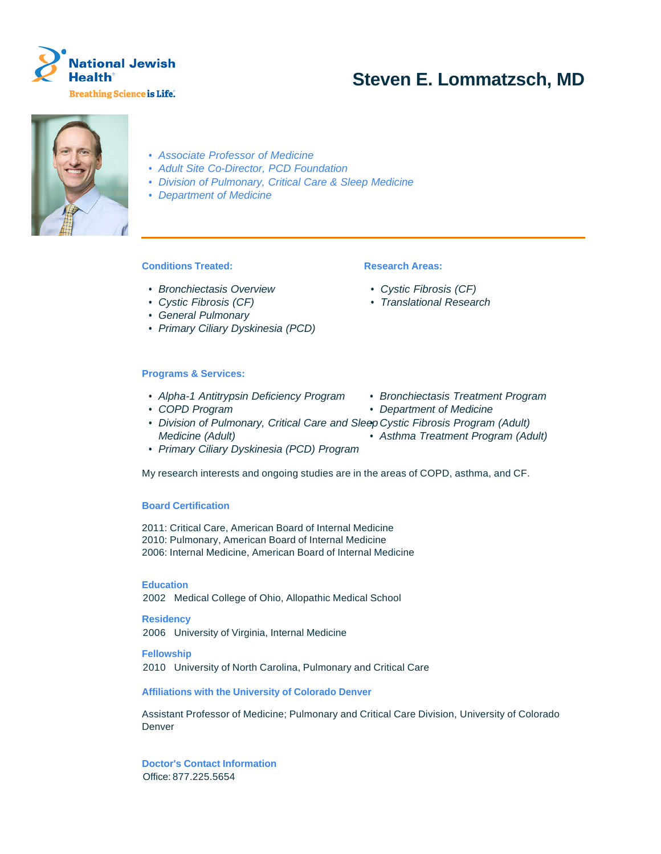

# **Steven E. Lommatzsch, MD**



- Associate Professor of Medicine
- Adult Site Co-Director, PCD Foundation
- Division of Pulmonary, Critical Care & Sleep Medicine
- Department of Medicine

# **Conditions Treated:**

- Bronchiectasis Overview
- Cystic Fibrosis (CF)
- General Pulmonary
- Primary Ciliary Dyskinesia (PCD)

#### **Programs & Services:**

- Alpha-1 Antitrypsin Deficiency Program Bronchiectasis Treatment Program
- COPD Program Department of Medicine
- Division of Pulmonary, Critical Care and Sleep Cystic Fibrosis Program (Adult) Medicine (Adult)
- Primary Ciliary Dyskinesia (PCD) Program

My research interests and ongoing studies are in the areas of COPD, asthma, and CF.

#### **Board Certification**

2011: Critical Care, American Board of Internal Medicine 2010: Pulmonary, American Board of Internal Medicine 2006: Internal Medicine, American Board of Internal Medicine

**Education**

2002 Medical College of Ohio, Allopathic Medical School

**Residency** 2006 University of Virginia, Internal Medicine

**Fellowship** 2010 University of North Carolina, Pulmonary and Critical Care

**Affiliations with the University of Colorado Denver**

Assistant Professor of Medicine; Pulmonary and Critical Care Division, University of Colorado **Denver** 

**Doctor's Contact Information** Office: 877.225.5654

## **Research Areas:**

- Cystic Fibrosis (CF)
- Translational Research
- 
- 
- 
- Asthma Treatment Program (Adult)